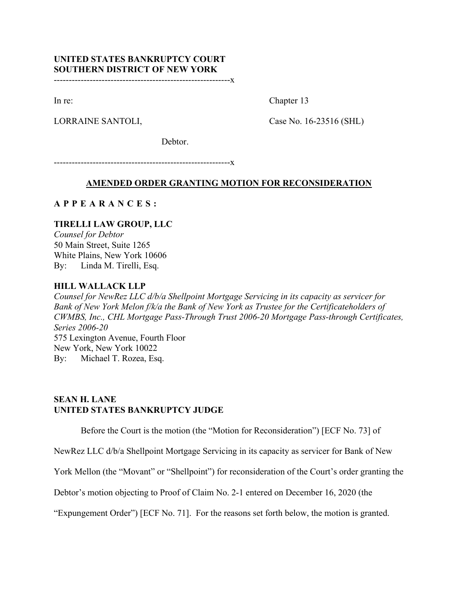# **UNITED STATES BANKRUPTCY COURT SOUTHERN DISTRICT OF NEW YORK**

-----------------------------------------------------------x

In re: Chapter 13

LORRAINE SANTOLI, Case No. 16-23516 (SHL)

Debtor.

-----------------------------------------------------------x

# **AMENDED ORDER GRANTING MOTION FOR RECONSIDERATION**

# **APPEARANCES :**

# **TIRELLI LAW GROUP, LLC**

*Counsel for Debtor* 50 Main Street, Suite 1265 White Plains, New York 10606 By: Linda M. Tirelli, Esq.

### **HILL WALLACK LLP**

*Counsel for NewRez LLC d/b/a Shellpoint Mortgage Servicing in its capacity as servicer for Bank of New York Melon f/k/a the Bank of New York as Trustee for the Certificateholders of CWMBS, Inc., CHL Mortgage Pass-Through Trust 2006-20 Mortgage Pass-through Certificates, Series 2006-20* 575 Lexington Avenue, Fourth Floor New York, New York 10022 By: Michael T. Rozea, Esq.

# **SEAN H. LANE UNITED STATES BANKRUPTCY JUDGE**

Before the Court is the motion (the "Motion for Reconsideration") [ECF No. 73] of

NewRez LLC d/b/a Shellpoint Mortgage Servicing in its capacity as servicer for Bank of New

York Mellon (the "Movant" or "Shellpoint") for reconsideration of the Court's order granting the

Debtor's motion objecting to Proof of Claim No. 2-1 entered on December 16, 2020 (the

"Expungement Order") [ECF No. 71]. For the reasons set forth below, the motion is granted.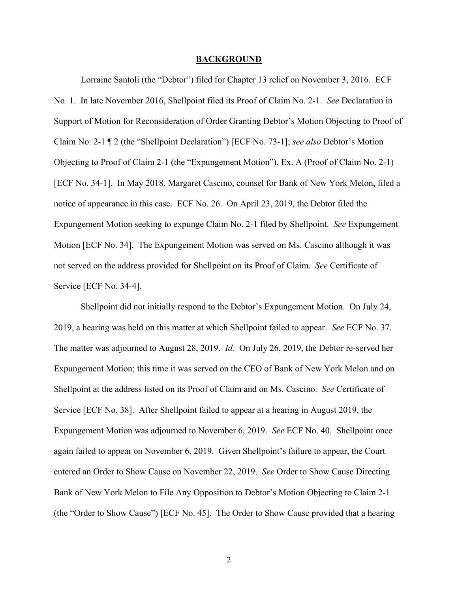#### **BACKGROUND**

Lorraine Santoli (the "Debtor") filed for Chapter 13 relief on November 3, 2016. ECF No. 1. In late November 2016, Shellpoint filed its Proof of Claim No. 2-1. *See* Declaration in Support of Motion for Reconsideration of Order Granting Debtor's Motion Objecting to Proof of Claim No. 2-1 ¶ 2 (the "Shellpoint Declaration") [ECF No. 73-1]; *see also* Debtor's Motion Objecting to Proof of Claim 2-1 (the "Expungement Motion"), Ex. A (Proof of Claim No. 2-1) [ECF No. 34-1]. In May 2018, Margaret Cascino, counsel for Bank of New York Melon, filed a notice of appearance in this case. ECF No. 26. On April 23, 2019, the Debtor filed the Expungement Motion seeking to expunge Claim No. 2-1 filed by Shellpoint. *See* Expungement Motion [ECF No. 34]. The Expungement Motion was served on Ms. Cascino although it was not served on the address provided for Shellpoint on its Proof of Claim. *See* Certificate of Service [ECF No. 34-4].

Shellpoint did not initially respond to the Debtor's Expungement Motion. On July 24, 2019, a hearing was held on this matter at which Shellpoint failed to appear. *See* ECF No. 37. The matter was adjourned to August 28, 2019. *Id.* On July 26, 2019, the Debtor re-served her Expungement Motion; this time it was served on the CEO of Bank of New York Melon and on Shellpoint at the address listed on its Proof of Claim and on Ms. Cascino. *See* Certificate of Service [ECF No. 38]. After Shellpoint failed to appear at a hearing in August 2019, the Expungement Motion was adjourned to November 6, 2019. *See* ECF No. 40. Shellpoint once again failed to appear on November 6, 2019. Given Shellpoint's failure to appear, the Court entered an Order to Show Cause on November 22, 2019. *See* Order to Show Cause Directing Bank of New York Melon to File Any Opposition to Debtor's Motion Objecting to Claim 2-1 (the "Order to Show Cause") [ECF No. 45]. The Order to Show Cause provided that a hearing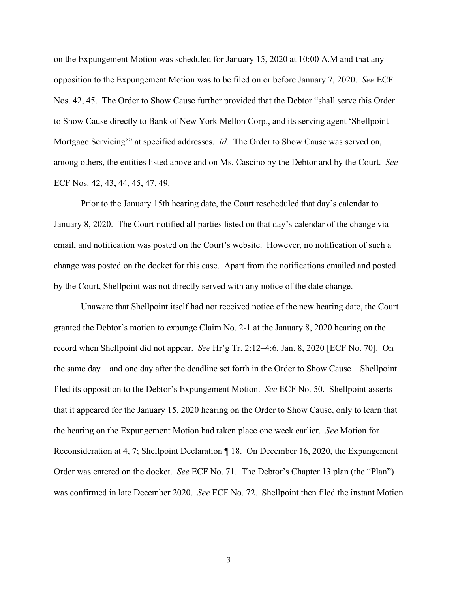on the Expungement Motion was scheduled for January 15, 2020 at 10:00 A.M and that any opposition to the Expungement Motion was to be filed on or before January 7, 2020. *See* ECF Nos. 42, 45. The Order to Show Cause further provided that the Debtor "shall serve this Order to Show Cause directly to Bank of New York Mellon Corp., and its serving agent 'Shellpoint Mortgage Servicing'" at specified addresses. *Id.* The Order to Show Cause was served on, among others, the entities listed above and on Ms. Cascino by the Debtor and by the Court. *See* ECF Nos. 42, 43, 44, 45, 47, 49.

Prior to the January 15th hearing date, the Court rescheduled that day's calendar to January 8, 2020. The Court notified all parties listed on that day's calendar of the change via email, and notification was posted on the Court's website. However, no notification of such a change was posted on the docket for this case. Apart from the notifications emailed and posted by the Court, Shellpoint was not directly served with any notice of the date change.

Unaware that Shellpoint itself had not received notice of the new hearing date, the Court granted the Debtor's motion to expunge Claim No. 2-1 at the January 8, 2020 hearing on the record when Shellpoint did not appear. *See* Hr'g Tr. 2:12–4:6, Jan. 8, 2020 [ECF No. 70]. On the same day—and one day after the deadline set forth in the Order to Show Cause—Shellpoint filed its opposition to the Debtor's Expungement Motion. *See* ECF No. 50. Shellpoint asserts that it appeared for the January 15, 2020 hearing on the Order to Show Cause, only to learn that the hearing on the Expungement Motion had taken place one week earlier. *See* Motion for Reconsideration at 4, 7; Shellpoint Declaration ¶ 18. On December 16, 2020, the Expungement Order was entered on the docket. *See* ECF No. 71. The Debtor's Chapter 13 plan (the "Plan") was confirmed in late December 2020. *See* ECF No. 72. Shellpoint then filed the instant Motion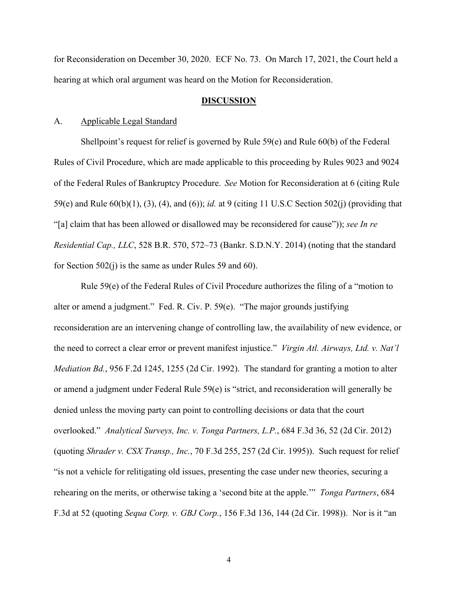for Reconsideration on December 30, 2020. ECF No. 73. On March 17, 2021, the Court held a hearing at which oral argument was heard on the Motion for Reconsideration.

### **DISCUSSION**

### A. Applicable Legal Standard

Shellpoint's request for relief is governed by Rule 59(e) and Rule 60(b) of the Federal Rules of Civil Procedure, which are made applicable to this proceeding by Rules 9023 and 9024 of the Federal Rules of Bankruptcy Procedure. *See* Motion for Reconsideration at 6 (citing Rule 59(e) and Rule 60(b)(1), (3), (4), and (6)); *id.* at 9 (citing 11 U.S.C Section 502(j) (providing that "[a] claim that has been allowed or disallowed may be reconsidered for cause")); *see In re Residential Cap., LLC*, 528 B.R. 570, 572–73 (Bankr. S.D.N.Y. 2014) (noting that the standard for Section 502(j) is the same as under Rules 59 and 60).

Rule 59(e) of the Federal Rules of Civil Procedure authorizes the filing of a "motion to alter or amend a judgment." Fed. R. Civ. P. 59(e). "The major grounds justifying reconsideration are an intervening change of controlling law, the availability of new evidence, or the need to correct a clear error or prevent manifest injustice." *Virgin Atl. Airways, Ltd. v. Nat'l Mediation Bd.*, 956 F.2d 1245, 1255 (2d Cir. 1992). The standard for granting a motion to alter or amend a judgment under Federal Rule 59(e) is "strict, and reconsideration will generally be denied unless the moving party can point to controlling decisions or data that the court overlooked." *Analytical Surveys, Inc. v. Tonga Partners, L.P.*, 684 F.3d 36, 52 (2d Cir. 2012) (quoting *Shrader v. CSX Transp., Inc.*, 70 F.3d 255, 257 (2d Cir. 1995)). Such request for relief "is not a vehicle for relitigating old issues, presenting the case under new theories, securing a rehearing on the merits, or otherwise taking a 'second bite at the apple.'" *Tonga Partners*, 684 F.3d at 52 (quoting *Sequa Corp. v. GBJ Corp.*, 156 F.3d 136, 144 (2d Cir. 1998)). Nor is it "an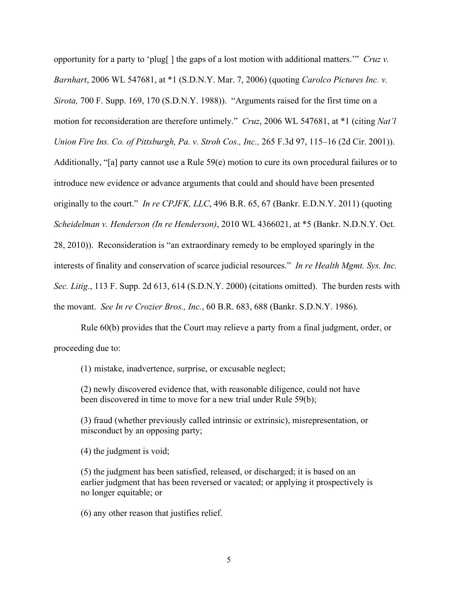opportunity for a party to 'plug[ ] the gaps of a lost motion with additional matters.'" *Cruz v. Barnhart*, 2006 WL 547681, at \*1 (S.D.N.Y. Mar. 7, 2006) (quoting *Carolco Pictures Inc. v. Sirota,* 700 F. Supp. 169, 170 (S.D.N.Y. 1988)). "Arguments raised for the first time on a motion for reconsideration are therefore untimely." *Cruz*, 2006 WL 547681, at \*1 (citing *Nat'l Union Fire Ins. Co. of Pittsburgh, Pa. v. Stroh Cos., Inc.,* 265 F.3d 97, 115–16 (2d Cir. 2001)). Additionally, "[a] party cannot use a Rule 59(e) motion to cure its own procedural failures or to introduce new evidence or advance arguments that could and should have been presented originally to the court." *In re CPJFK, LLC*, 496 B.R. 65, 67 (Bankr. E.D.N.Y. 2011) (quoting *Scheidelman v. Henderson (In re Henderson)*, 2010 WL 4366021, at \*5 (Bankr. N.D.N.Y. Oct. 28, 2010)). Reconsideration is "an extraordinary remedy to be employed sparingly in the interests of finality and conservation of scarce judicial resources." *In re Health Mgmt. Sys. Inc. Sec. Litig.*, 113 F. Supp. 2d 613, 614 (S.D.N.Y. 2000) (citations omitted). The burden rests with

Rule 60(b) provides that the Court may relieve a party from a final judgment, order, or

the movant. *See In re Crozier Bros., Inc.*, 60 B.R. 683, 688 (Bankr. S.D.N.Y. 1986).

proceeding due to:

(1) mistake, inadvertence, surprise, or excusable neglect;

(2) newly discovered evidence that, with reasonable diligence, could not have been discovered in time to move for a new trial under Rule 59(b);

(3) fraud (whether previously called intrinsic or extrinsic), misrepresentation, or misconduct by an opposing party;

(4) the judgment is void;

(5) the judgment has been satisfied, released, or discharged; it is based on an earlier judgment that has been reversed or vacated; or applying it prospectively is no longer equitable; or

(6) any other reason that justifies relief.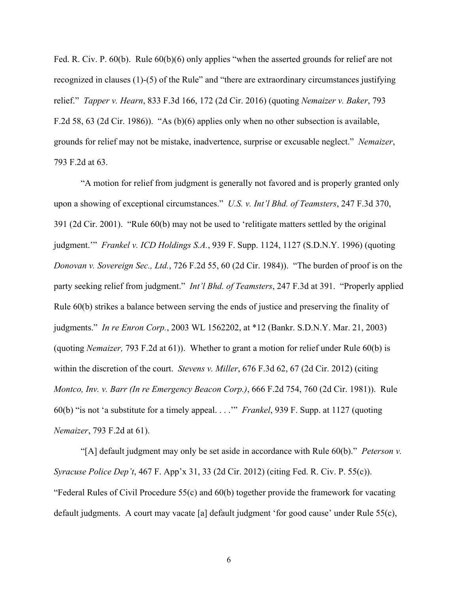Fed. R. Civ. P. 60(b). Rule 60(b)(6) only applies "when the asserted grounds for relief are not recognized in clauses (1)-(5) of the Rule" and "there are extraordinary circumstances justifying relief." *Tapper v. Hearn*, 833 F.3d 166, 172 (2d Cir. 2016) (quoting *Nemaizer v. Baker*, 793 F.2d 58, 63 (2d Cir. 1986)). "As (b)(6) applies only when no other subsection is available, grounds for relief may not be mistake, inadvertence, surprise or excusable neglect." *Nemaizer*, 793 F.2d at 63.

"A motion for relief from judgment is generally not favored and is properly granted only upon a showing of exceptional circumstances." *U.S. v. Int'l Bhd. of Teamsters*, 247 F.3d 370, 391 (2d Cir. 2001). "Rule 60(b) may not be used to 'relitigate matters settled by the original judgment.'" *Frankel v. ICD Holdings S.A.*, 939 F. Supp. 1124, 1127 (S.D.N.Y. 1996) (quoting *Donovan v. Sovereign Sec., Ltd.*, 726 F.2d 55, 60 (2d Cir. 1984)). "The burden of proof is on the party seeking relief from judgment." *Int'l Bhd. of Teamsters*, 247 F.3d at 391. "Properly applied Rule 60(b) strikes a balance between serving the ends of justice and preserving the finality of judgments." *In re Enron Corp.*, 2003 WL 1562202, at \*12 (Bankr. S.D.N.Y. Mar. 21, 2003) (quoting *Nemaizer,* 793 F.2d at 61)). Whether to grant a motion for relief under Rule 60(b) is within the discretion of the court. *Stevens v. Miller*, 676 F.3d 62, 67 (2d Cir. 2012) (citing *Montco, Inv. v. Barr (In re Emergency Beacon Corp.)*, 666 F.2d 754, 760 (2d Cir. 1981)). Rule 60(b) "is not 'a substitute for a timely appeal. . . .'" *Frankel*, 939 F. Supp. at 1127 (quoting *Nemaizer*, 793 F.2d at 61).

"[A] default judgment may only be set aside in accordance with Rule 60(b)." *Peterson v. Syracuse Police Dep't*, 467 F. App'x 31, 33 (2d Cir. 2012) (citing Fed. R. Civ. P. 55(c)). "Federal Rules of Civil Procedure 55(c) and 60(b) together provide the framework for vacating default judgments. A court may vacate [a] default judgment 'for good cause' under Rule 55(c),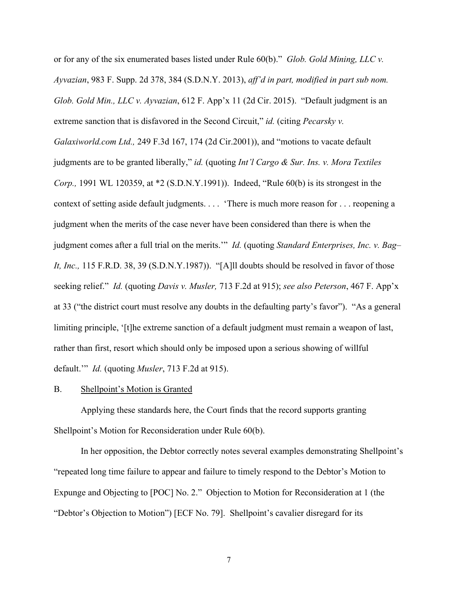or for any of the six enumerated bases listed under Rule 60(b)." *Glob. Gold Mining, LLC v. Ayvazian*, 983 F. Supp. 2d 378, 384 (S.D.N.Y. 2013), *aff'd in part, modified in part sub nom. Glob. Gold Min., LLC v. Ayvazian*, 612 F. App'x 11 (2d Cir. 2015). "Default judgment is an extreme sanction that is disfavored in the Second Circuit," *id.* (citing *Pecarsky v. Galaxiworld.com Ltd.,* 249 F.3d 167, 174 (2d Cir.2001)), and "motions to vacate default judgments are to be granted liberally," *id.* (quoting *Int'l Cargo & Sur. Ins. v. Mora Textiles Corp.,* 1991 WL 120359, at \*2 (S.D.N.Y.1991)). Indeed, "Rule 60(b) is its strongest in the context of setting aside default judgments. . . . 'There is much more reason for . . . reopening a judgment when the merits of the case never have been considered than there is when the judgment comes after a full trial on the merits.'" *Id.* (quoting *Standard Enterprises, Inc. v. Bag– It, Inc.,* 115 F.R.D. 38, 39 (S.D.N.Y.1987)). "[A]ll doubts should be resolved in favor of those seeking relief." *Id.* (quoting *Davis v. Musler,* 713 F.2d at 915); *see also Peterson*, 467 F. App'x at 33 ("the district court must resolve any doubts in the defaulting party's favor"). "As a general limiting principle, '[t]he extreme sanction of a default judgment must remain a weapon of last, rather than first, resort which should only be imposed upon a serious showing of willful default.'" *Id.* (quoting *Musler*, 713 F.2d at 915).

### B. Shellpoint's Motion is Granted

Applying these standards here, the Court finds that the record supports granting Shellpoint's Motion for Reconsideration under Rule 60(b).

In her opposition, the Debtor correctly notes several examples demonstrating Shellpoint's "repeated long time failure to appear and failure to timely respond to the Debtor's Motion to Expunge and Objecting to [POC] No. 2." Objection to Motion for Reconsideration at 1 (the "Debtor's Objection to Motion") [ECF No. 79]. Shellpoint's cavalier disregard for its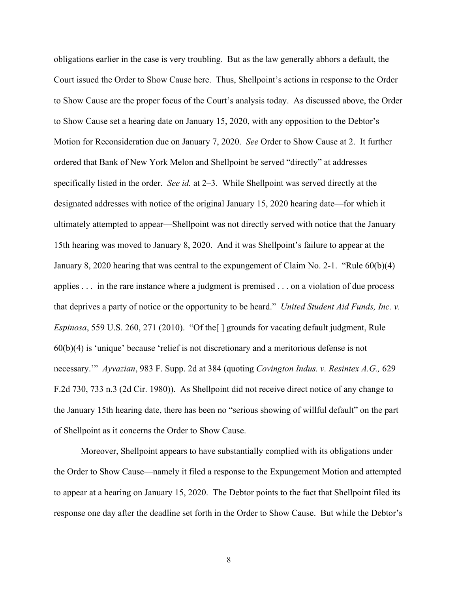obligations earlier in the case is very troubling. But as the law generally abhors a default, the Court issued the Order to Show Cause here. Thus, Shellpoint's actions in response to the Order to Show Cause are the proper focus of the Court's analysis today. As discussed above, the Order to Show Cause set a hearing date on January 15, 2020, with any opposition to the Debtor's Motion for Reconsideration due on January 7, 2020. *See* Order to Show Cause at 2. It further ordered that Bank of New York Melon and Shellpoint be served "directly" at addresses specifically listed in the order. *See id.* at 2–3. While Shellpoint was served directly at the designated addresses with notice of the original January 15, 2020 hearing date—for which it ultimately attempted to appear—Shellpoint was not directly served with notice that the January 15th hearing was moved to January 8, 2020. And it was Shellpoint's failure to appear at the January 8, 2020 hearing that was central to the expungement of Claim No. 2-1. "Rule 60(b)(4) applies . . . in the rare instance where a judgment is premised . . . on a violation of due process that deprives a party of notice or the opportunity to be heard." *United Student Aid Funds, Inc. v. Espinosa*, 559 U.S. 260, 271 (2010). "Of the[ ] grounds for vacating default judgment, Rule 60(b)(4) is 'unique' because 'relief is not discretionary and a meritorious defense is not necessary.'" *Ayvazian*, 983 F. Supp. 2d at 384 (quoting *Covington Indus. v. Resintex A.G.,* 629 F.2d 730, 733 n.3 (2d Cir. 1980)). As Shellpoint did not receive direct notice of any change to the January 15th hearing date, there has been no "serious showing of willful default" on the part of Shellpoint as it concerns the Order to Show Cause.

Moreover, Shellpoint appears to have substantially complied with its obligations under the Order to Show Cause—namely it filed a response to the Expungement Motion and attempted to appear at a hearing on January 15, 2020. The Debtor points to the fact that Shellpoint filed its response one day after the deadline set forth in the Order to Show Cause. But while the Debtor's